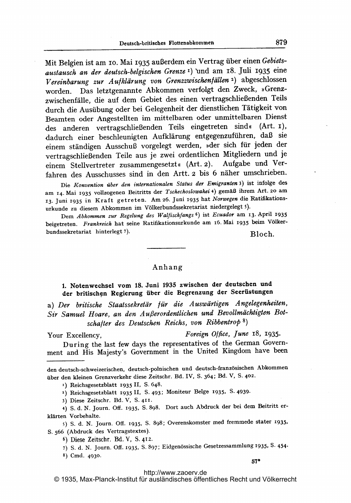Mit Belgien ist am 10. Mai 1935 außerdem ein Vertrag über einen Gebietsaustausch an der deutsch-belgischen Grenze 1) und am 18. Juli 1935 eine Vereinbarung zur Aufklärung von Grenzzwischenfällen 2) abgeschlossen worden. Das letztgenannte Abkommen verfolgt den Zweck, »Grenzzwischenfälle, die auf dem Gebiet des einen vertragschließenden Teils durch die Ausübung oder bei Gelegenheit der dienstlichen Tätigkeit von Beamten oder Angestellten im mittelbaren oder unmittelbaren Dienst des anderen vertragschließenden Teils eingetreten sind« (Art. 1), dadurch einer beschleunigten Aufklärung entgegenzuführen, daß sie einem ständigen Ausschuß vorgelegt werden, »der sich für jeden der vertragschließenden Teile aus je zwei ordentlichen Mitgliedern und je einem Stellvertreter zusammengesetzt« (Art. 2). Aufgabe und Verfahren des Ausschusses sind in den Artt. 2 bis 6 näher umschrieben.

Die Konvention über den internationalen Status der Emigranten 3) ist infolge des am 14. Mai 1935 vollzogenen Beitritts der Tschechoslowakei 4) gemäß ihrem Art. 20 am 13. Juni 1935 in Kraft getreten. Am 26. Juni 1935 hat Norwegen die Ratifikationsurkunde zu diesem Abkommen im Völkerbundssekretariat niedergelegt 5).

Dem Abkommen zur Regelung des Walfischfangs<sup>6</sup>) ist Ecuador am 13. April 1935 beigetreten. Frankreich hat seine Ratifikationsurkunde am 16. Mai 1935 beim Völkerbundssekretariat hinterlegt 7).

Bloch.

# Anhang

1. Notenwechsel vom 18. Juni 1935 zwischen der deutschen und der britischen Regierung über die Begrenzung der Seerüstungen

a) Der britische Staatssekretär für die Auswärtigen Angelegenheiten, Sir Samuel Hoare, an den Außerordentlichen und Bevollmächtigten Botschafter des Deutschen Reichs, von Ribbentrop  $8$ )

Your Excellency, Foreign Office, June 18, 1935.

During the last few days the representatives of the German Government and His Majesty's Government in the United Kingdom have been

Reichsgesetzblatt 1935 11, S- 493; Moniteur Belge 1935, S- 4939.

3) Diese Zeitschr. Bd. V, S. 411.

4) S. d. N. Journ. Off. 1935. S. 898. Dort auch Abdruck der bei dem Beitritt er- .klärten Vorbehalte.

5) S. d. N. Journ. Off. 1935, S. 898; Overenskomster med fremmede stater 1935, S- 566 (Abdruck des Vertragstextes).

 $57*$ 

den deutsch-schweizerischen, deutsch-polnischen und deutsch-französischen Abkommen über den kleinen Grenzverkehr diese Zeitschr. Bd. IV, S. 364; Bd. V, S. 402.

Reichsgesetzblatt 1935 11, S. 648.

<sup>6)</sup> Diese Zeitschr. Bd. V, S- 412-

<sup>7)</sup> S. d. N. Journ. Off. 1935, S. 897; Eidgenössische Gesetzessammlung 1935, S- 454-

<sup>8)</sup> Cmd. 4930.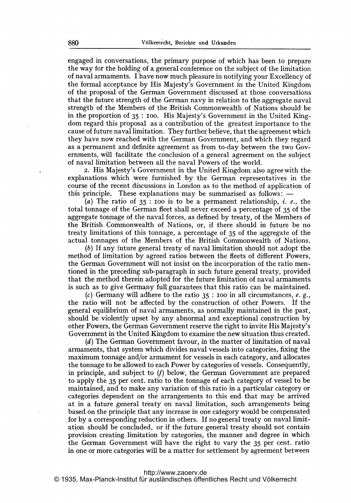engaged in conversations, the primary purpose of which has been to prepare the way for the holding of a general conference on the subject of the limitation of naval armaments. <sup>I</sup> have now much pleasure in notifying your Excellency of the formal acceptance by His Majesty's Government in the United Kingdom of the proposal of the German Government discussed at those conversations that the future strength of the German navy in relation to the aggregate naval strength of the Members of the British Commonwealth of Nations should be in the proportion Of <sup>35</sup> : ioo. His Majesty's Government in the United King- dom regard this proposal as <sup>a</sup> contribution of the greatest importance to the cause of future naval limitation. They further believe, that the agreement which they have now reached with the German Government, and which they regard as <sup>a</sup> permanent and definite agreement as from to-day between the two Governments, will facilitate the conclusion of a general agreement on the subject of naval limitation between all the naval Powers of the world.

2. His Majesty's Government in the United Kingdom also agree with the explanations which were furnished by the German representatives in the course of the recent discussions in London as to the method of application of this principle. These explanations may be summarised as follows:

(a) The ratio of  $35$ : 100 is to be a permanent relationship, *i. e.*, the total tonnage of the German fleet shall never exceed a percentage of 35 of the aggregate tonnage of the naval forces, as defined by treaty, of the Members of the British Commonwealth of Nations, or, if there should in future be no treaty limitations of this tonnage, a percentage of 35 of the aggregate of the actual tonnages of the Members of the British Commonwealth of Nations.

(b) If any future general treaty of naval limitation should not adopt the method of limitation by agreed ratios between the fleets of different Powers, the German Government will not insist on the incorporation of the ratio mentioned in the preceding sub-paragraph in such future general treaty, provided that the method therein adopted for the future limitation of naval armaments is such as to give Germany full guarantees that this ratio can be maintained.

(c) Germany will adhere to the ratio  $35$  : 100 in all circumstances, e. g., the ratio will not be affected by the construction of other Powers. If the general equilibrium of naval armaments, as normally maintained in the past, should be violently upset by any abnormal and exceptional construction by other Powers, the German Government reserve the right to invite His Majesty's Government in the United Kingdom to examine the new situation thus created.

(d) The German Government favour, in the matter of limitation of naval armaments, that system which divides naval vessels into categories, fixing the maximum tonnage and/or armament for vessels in each category, and allocates the tonnage to be allowed to each Power by categories of vessels. Consequently, in principle, and subject to  $(f)$  below, the German Government are prepared to apply the 35 per cent. ratio to the tonnage of each category of vessel to be maintained, and to make any variation of this ratio in <sup>a</sup> particular category or categories dependent on the arrangements to this end that may be arrived at in a future general treaty on naval limitation, such arrangements being based on the principle that any increase in one category would be compensated for by a corresponding reduction in others. If no general treaty on naval limitation should be concluded, or if the future general treaty should not contain provision creating limitation by categories, the manner and degree in which the German Government will have the right to vary the <sup>35</sup> per cent. ratio in one or more categories will be a matter for settlement by agreement between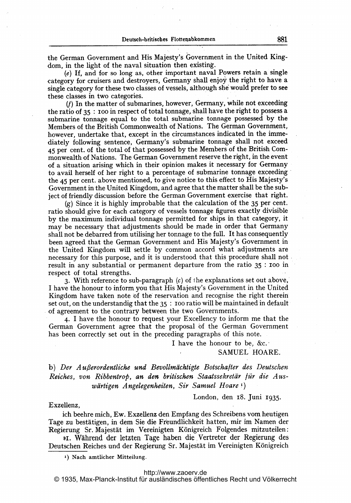the German Government and His. Majesty's Government in the United Kingdom, in the light of the naval situation then existing.

(e) If, and for so long as, other important naval Powers retain a single category for cruisers and destroyers, Germany shall enjoy the right to have <sup>a</sup> single category for these two classes of vessels, although she would prefer to see these classes in two categories.

 $(1)$  In the matter of submarines, however, Germany, while not exceeding the ratio Of 35 : ioo in respect of total tonnage, shall have the right to possess <sup>a</sup> submarine tonnage equal to the total submarine tonnage possessed by the Members of the British Commonwealth of Nations. The German Government, however, undertake that, except in the circumstances indicated in the immediately following sentence, Germany's submarine tonnage shall not exceed <sup>45</sup> per cent. of the total of that possessed by the Members of the British Commonwealth of Nations. The German Government reserve the right, in the event of a situation arising which in their opinion makes it necessary for Germany to avail herself of her right to a percentage of submarine tonnage exceeding the <sup>45</sup> per cent. above mentioned, to give notice to this effect to His Majesty's Government in the United Kingdom, and agree that the matter shall be the subject of friendly discussion before the German Government exercise that right.

(g) Since it is highly improbable that the calculation of the 35 per cent. ratio should give for each category of vessels tonnage figures exactly divisible by the maximum individual tonnage permitted for ships in that category, it may be necessary that adjustments should be made in order that Germany shall not be debarred from utilising her tonnage to the full. It has consequently been agreed that the German Government and His Majesty's Government in the United Kingdom will settle by common accord what adjustments are necessary for this purpose, and it is understood that this procedure shall not result in any substantial or permanent departure from the ratio  $35$ : 100 in respect of total strengths.

3. With reference to sub-paragraph  $(c)$  of the explanations set out above, <sup>I</sup> have the honour to inform you that His Majesty's Government in the United Kingdom have taken note of the reservation and recognise the right therein set out, on the understandig that the 35 : ioo ratio will be maintained in default of agreement to the contrary between the two Governments.

4. <sup>1</sup> have the honour to request your Excellency to inform me that the German Government agree that the proposal of the German Government has been correctly set out in the preceding paragraphs of this note.

<sup>I</sup> have the honour to be, &c.

#### SAMUEL HOARE.

b) Der Außerordentliche und Bevollmächtigte Botschafter des Deutschen Reiches, von Ribbentrop, an den britischen Staatssekretär für die Auswärtigen Angelegenheiten, Sir Samuel Hoare

London, den 18. Juni 1935.

Exzellenz,

ich beehre mich, Ew. Exzellenz den Empfang des Schreibens vom heutigen Tage zu bestätigen, in dem Sie die Freundlichkeit hatten, mir im Namen der Regierung Sr. Majestät im Vereinigten Königreich Folgendes mitzuteilen:

i. Während der letzten Tage haben die, Vertreter der Regierung des Deutschen Reiches und der Regierung Sr. Majestät im Vereinigten Königreich

1) Nach amtlicher Mitteilung.

### <http://www.zaoerv.de>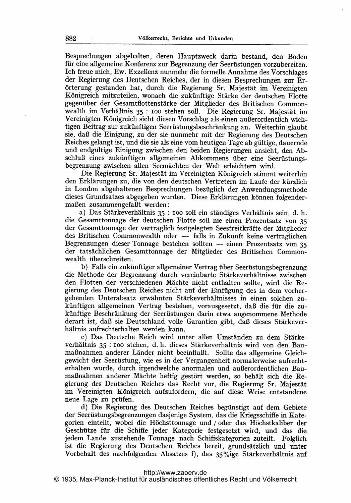Besprechungen abgehalten, deren Hauptzweck darin bestand, den Boden für eine allgemeine Konferenz zur Begrenzung der Seerüstungen vorzubereiten. Ich freue mich, Ew. Exzellenz nunmehr die formelle Annahme des Vorschlages der Regierung des Deutschen Reiches, der in diesen Besprechungen zur Erörterung gestanden hat, durch die Regierung Sr. Majestät im Vereinigten Königreich mitzuteilen, wonach die zukünftige Stärke der deutschen Flotte gegenüber der Gesamtflottenstärke der Mitglieder des Britischen Commonwealth im Verhältnis <sup>35</sup> : ioo stehen soll. Die Regierung Sr. Majestät im Vereinigten Königreich sieht diesen Vorschlag als einen außerordentlich wichtigen Beitrag zur zukünftigen Seerüstungsbeschränkung an. Weiterhin glaubt sie, daß die Einigung, zu der sie nunmehr mit der Regierung des Deutschen Reiches gelangt ist, und die sie als eine vom heutigen Tage ab gültige, dauernde und endgültige Einigung zwischen den beiden Regierungen ansieht, den Abschluß eines zukünftigen allgemeinen Abkommens über eine Seerüstungsbegrenzung zwischen allen Seemächten der Welt erleichtern wird. Die Regierung Sr. Majestät im Vereinigten Königreich stimmt weiterhin

den Erklärungen zu, die von den deutschen Vertretern im Laufe der kürzlich in London abgehaltenen Besprechungen bezüglich der Anwendungsmethode dieses Grundsatzes abgegeben wurden. Diese Erklärungen können folgender- maßen zusammengefaßt werden:

a) Das Stärkeverhältnis 35 : ioo soll ein ständiges Verhältnis sein, d. h. die Gesamttonnage der deutschen Flotte soll nie einen Prozentsatz von 35 der Gesamttonnage der vertraglich festgelegten Seestreitkräfte der Mitglieder des Britischen Commonwealth oder — falls in Zukunft keine vertraglichen des Britischen Commonweartn oder — aans in Zukunft keine vertragnchen<br>Begrenzungen dieser Tonnage bestehen sollten — einen Prozentsatz von 35 der tatsächlichen Gesamttonnage der Mitglieder des Britischen Commonwealth überschreiten.

b) Falls ein zukünftiger allgemeiner Vertrag über Seerüstungsbegrenzung die Methode der Begrenzung durch vereinbarte Stärkeverhältnisse zwischen den Flotten der verschiedenen Mächte nicht enthalten sollte, wird die Regierung des Deutschen Reiches nicht auf der Einfügung des in dem vorhergehenden Unterabsatz erwähnten Stärkeverhältnisses in einen solchen zukünftigen allgemeinen Vertrag bestehen, vorausgesetzt, daß die für die zukünftige Beschränkung der Seerüstungen darin etwa angenommene Methode derart ist, daß sie Deutschland volle Garantien gibt, daß dieses Stärkeverhältnis aufrechterhalten werden kann.

c) Das Deutsche Reich wird unter allen Umständen zu dem Stärkeverhältnis 35 : 100 stehen, d. h. dieses Stärkeverhältnis wird von den Baumaßnahmen anderer Länder nicht beeinflußt. Sollte das allgemeine Gleichgewicht der Seerüstung, wie es in der Vergangenheit normalerweise aufrechterhalten wurde, durch irgendwelche anormalen und außerordentlichen Baumaßnahmen anderer Mächte heftig gestört werden, so behält sich die Regierung des Deutschen Reiches das Recht vor, die Regierung Sr. Majestät im Vereinigten Königreich aufzufordern, die auf diese Weise entstandene neue Lage zu prüfen.

d) Die Regierung des Deutschen Reiches begünstigt auf dem Gebiete der Seerüstungsbegrenzungen dasjenige System, das die Kriegsschiffe in Kategorien einteilt, wobei die Höchsttonnage und / oder das Höchstkaliber der Geschütze für die Schiffe jeder Kategorie festgesetzt wird, und das die jedem Lande zustehende Tonnage nach Schiffskategorien zuteilt. Folglich ist die Regierung des Deutschen Reiches bereit, grundsätzlich und unter Vorbehalt des nachfolgenden Absatzes f), das  $35\%$ ige Stärkeverhältnis auf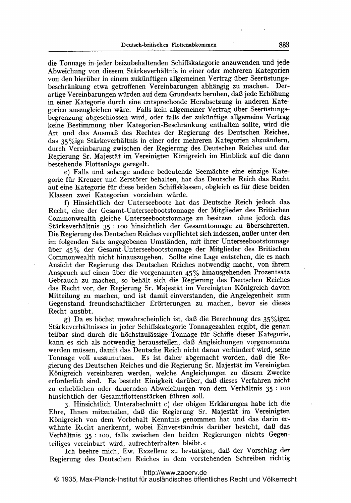die Tonnage in- jeder beizubehaltenden Schiffskategorie anzuwenden und jede Abweichung von diesem Stärkeverhältnis in einer oder mehreren Kategorien von den hierüber in einem zukünftigen allgemeinen Vertrag über Seerüstungsbeschränkung etwa getroffenen Vereinbarungen abhängig zu machen. Derartige Vereinbarungen würden auf dem Grundsatz beruhen, daß jede Erhöhung in einer Kategorie durch eine entsprechende Herabsetzung in anderen Kategorien auszugleichen wäre. Falls kein allgemeiner Vertrag über Seerüstungsbegrenzung abgeschlossen wird, oder falls der zukünftige allgemeine Vertrag keine Bestimmung über Kategorien-Beschränkung enthalten sollte, wird die Art und das Ausmaß des Rechtes der Regierung des Deutschen Reiches, das 35% ige Stärkeverhältnis in einer oder mehreren Kategorien abzuändern, durch Vereinbarung zwischen der Regierung des Deutschen Reiches und der Regierung Sr. Majestät im Vereinigten Königreich im Hinblick auf die dann bestehende Flottenlage geregelt.

e) Falls und solange andere bedeutende Seemächte eine einzige Kategorie für Kreuzer und Zerstörer behalten, hat das Deutsche Reich das Recht auf eine Kategorie für diese beiden Schiffsklassen, obgleich es für diese beiden Klassen zwei Kategorien vorziehen würde.

f) Hinsichtlich der Unterseeboote hat das Deutsche Reich jedoch das Recht, eine der Gesamt-Unterseebootstonnage der Mitglieder des Britischen Commonwealth gleiche Unterseebootstonnage zu besitzen, ohne jedoch das Stärkeverhältnis 35 : 100 hinsichtlich der Gesamttonnage zu überschreiten. Die Regierung des Deutschen Reiches verpflichtet sich indessen, außer unter den im folgenden Satz angegebenen Umständen, mit ihrer Unterseebootstonnage über 45 0/. der Gesamt-Unterseebootstonnage der Mitglieder des Britischen Commonwealth nicht hinauszugehen. Sollte eine Lage entstehen, die es nach Ansicht der Regierung des Deutschen Reiches notwendig macht, von ihrem Anspruch auf einen über die vorgenannten 45% hinausgehenden Prozentsatz Gebrauch zu machen, so behält sich die Regierung des Deutschen Reiches das Recht vor, der Regierung Sr. Majestät im Vereinigten Königreich davon Mitteilung zu machen, und ist damit einverstanden, die Angelegenheit zum Gegenstand freundschaftlicher Erörterungen zu machen, bevor sie dieses Recht ausübt.

g) Da es höchst unwahrscheinlich ist, daß die Berechnung des  $35\%$ igen Stärkeverhältnisses in jeder Schiffskategorie Tonnagezahlen ergibt, die genau teilbar sind durch die höchstzulässige Tonnage für Schiffe dieser Kategorie, kann es sich als notwendig herausstellen, daß Angleichungen vorgenommen werden müssen, damit das Deutsche Reich nicht daran verhindert wird, seine Tonnage voll auszunutzen. Es ist daher abgemacht worden, daß die Regierung des Deutschen Reiches und die Regierung Sr. Majestät im Vereinigten Königreich vereinbaren werden, welche Angleichungen zu diesem Zwecke erforderlich sind. Es besteht Einigkeit darüber, daß dieses Verfahren nicht zu erheblichen oder dauernden Abweichungen von dem Verhältnis <sup>35</sup> : <sup>100</sup> hinsichtlich der Gesamtflottenstärken führen soll.

3. Hinsichtlich Unterabschnitt c) der obigen Erklärungen habe ich die Ehre, Ihnen mitzuteilen, daß die Regierung Sr. Majestät im Vereinigten Königreich von dem Vorbehalt Kenntnis genommen hat und das darin erwähnte Rtcilt anerkennt, wobei Einverständnis darüber besteht, daß das Verhältnis 35 : ioo, falls zwischen den beiden Regierungen nichts Gegenteiliges vereinbart wird, aufrechterhalten bleibt.

Ich beehre mich, Ew. Exzellenz zu bestätigen, daß der Vorschlag der Regierung des Deutschen Reiches in dem vorstehenden Schreiben richtig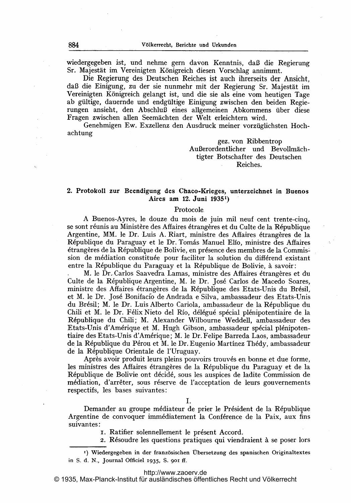wiedergegeben ist, und nehme gern davon Kenntnis, daß die Regierung Sr. Majestät im Vereinigten Königreich diesen Vorschlag annimmt.

Die Regierung des Deutschen Reiches ist auch ihrerseits der Ansicht, daß die Einigung, zu der sie nunmehr mit der Regierung Sr. Majestät im Vereinigten Königreich gelangt ist, und die sie als eine vom heutigen Tage ab gültige, dauernde und endgültige Einigung zwischen den beiden Regierungen ansieht, den Abschluß eines allgemeinen Abkommens über diese Fragen zwischen allen Seemächten der Welt erleichtern wird.

Genehmigen Ew. Exzellenz den Ausdruck meiner vorzüglichsten Hochachtung

> gez. von Ribbentrop Außerordentlicher und Bevollmächtigter Botschafter des Deutschen Reiches.

# Aires am 12. Juni  $1935<sup>1</sup>$ )

#### Protocole,

2. Protokoll zur Beendigung des Chaco-Krieges, unterzeichnet in Buenos<br>
Aires am 12. Juni 1935<sup>1</sup>)<br>
Protocole<br>
A Buenos-Ayres, le douze du mois de juin mil neuf cent trente-cinq,<br>
se sont réunis au Ministère des Affaires é A Buenos-Ayres, le douze du mois de juin mil neuf cent trente-cinq, se sont réunis au Ministère des Affaires étrangères et du Argentine, MM. le Dr. Luis A. Riart, ministre des Affaires étrangères de la Aires am 12. Juni 1935<sup>1</sup>)<br>
Protocole<br>
A Buenos-Ayres, le douze du mois de juin mil neuf cent trente-cinq,<br>
se sont réunis au Ministère des Affaires étrangères et du Culte de la République<br>
Argentine, MM. le Dr. Luis A. Ri République du Paraguay et le Dr. Tomás Manuel Elío, ministre des Affaires sion de médiation constituée pour faciliter la solution du différend existant entre la R6publique du Paraguay et la R6publique de Bolivie, ä savoir:

M. le Dr. Carlos Saavedra Lamas, ministre des Affaires étrangères et du Culte de la République Argentine, M. le Dr. José Carlos de Macedo Soares, ministre des Affaires étrangères de la République des Etats-Unis du Brésil, et M. le Dr. José Bonifacio de Andrada e Silva, ambassadeur des Etats-Unis du Brésil; M. le Dr. Luis Alberto Cariola, ambassadeur de la République du Chili et M. le Dr. Félix Nieto del Río, délégué spécial plénipotentiaire de la R6publique du Chili; M. Alexander Wilbourne Weddell, ambassadeur des Etats-Unis d'Amérique et M. Hugh Gibson, ambassadeur spécial plénipotentiaire des Etats-Unis d'Amérique; M. le Dr. Felipe Barreda Laos, ambassadeur<br>de la République du Pérou et M. le Dr. Eugenio Martínez Thédy, ambassadeur de la R6publique Orientale de l'Uruguay. les ministres des Affaires et M. Hugh Gibson, ambassadeur spécial plénipotentiaire des Etats-Unis d'Amérique; M. le Dr. Felipe Barreda Laos, ambassadeur de la République du Pérou et M. le Dr. Eugenio Martínez Thédy, ambass

Après avoir produit leurs pleins pouvoirs trouvés en bonne et due forme, République de Bolivie ont décidé, sous les auspices de ladite Commission de médiation, d'arrêter, sous réserve de l'acceptation de leurs gouvernements respectifs, les bases suivantes:

I.

Demander au groupe médiateur de prier le Président de la République Argentine de convoquer immédiatement la Conférence de la Paix, aux fins suivantes:

I. Ratifier solennellement le présent Accord.

2. Résoudre les questions pratiques qui viendraient à se poser lors

1) Wiedergegeben in der französischen Übersetzung des spanischen Originaltextes in S. d. N., Journal Officiel 1935, S. 901 ff.

#### <http://www.zaoerv.de>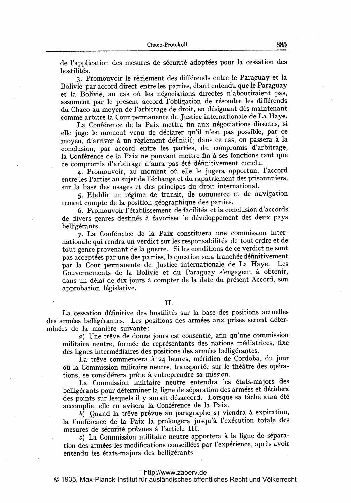de l'application des mesures de sécurité adoptées pour la cessation des hostilités.

3. Promouvoir le règlement des différends entre le Paraguay et la Bolivie par accord direct entre les parties, 6tant entendu que le Paraguay et la Bolivie, au cas où les négociations directes n'aboutiraient pas, assument par le présent accord l'obligation de résoudre les différends du Chaco au moyen de l'arbitrage de droit, en désignant dès maintenant comme arbitre la Cour permanente de justice internationale de La Haye.

La Conférence de la Paix mettra fin aux négociations directes, si elle juge le moment venu de déclarer qu'il n'est pas possible, par ce moyen, d'arriver à un règlement définitif; dans ce cas, on passera à la conclusion, par accord entre les parties, du compromis d'arbitrage, la Conférence de la Paix ne pouvant mettre fin à ses fonctions tant que ce compromis d'arbitrage n'aura pas 6t6 d6finitivement conclu.

4. Promouvoir, au moment où elle le jugera opportun, l'accord entre les Parties au sujet de 1'6change et du rapatriement des prisonnniers, sur la base des usages et des principes du droit international.

5. Etablir un régime de transit, de commerce et de navigation tenant compte de la position géographique des parties.

6. Promouvoir l'établissement de facilités et la conclusion d'accords de divers genres destinés à favoriser le développement des deux pays belligérants.

7. La Conférence de la Paix constituera une commission internationale qui rendra un verdict sur les responsabilités de tout ordre et de tout genre provenant de la guerre. Si les conditions de ce verdict ne sont pas acceptées par une des parties, la question sera tranchée définitivement par la Cour permanente de justice internationale de La Haye. Les Gouvernements de la Bolivie et du Paraguay s'engagent à obtenir, dans un délai de dix jours à compter de la date du présent Accord, son approbation législative.

## и.

La cessation définitive des hostilités sur la base des positions actuelles des armées belligérantes. Les positions des armées aux prises seront déterminées de la manière suivante:

 $a)$  Une trêve de douze jours est consentie, afin qu'une commission militaire neutre, formée de représentants des nations médiatrices, fixe des lignes intermédiaires des positions des armées belligérantes.

La trêve commencera à 24 heures, méridien de Cordoba, du jour où la Commission militaire neutre, transportée sur le théâtre des opérations, se considérera prête à entreprendre sa mission.

La Commission militaire neutre entendra les 6tats-majors des belligérants pour déterminer la ligne de séparation des armées et décidera des points sur lesquels il y aurait désaccord. Lorsque sa tâche aura été accomplie, elle en avisera la Conférence de la Paix.

 $b)$  Quand la trêve prévue au paragraphe  $a)$  viendra à expiration, la Conférence de la Paix la prolongera jusqu'à l'exécution totale des mesures de sécurité prévues à l'article III.

 $c)$  La Commission militaire neutre apportera à la ligne de séparation des armées les modifications conseillées par l'expérience, après avoir entendu les états-majors des belligérants.

# <http://www.zaoerv.de>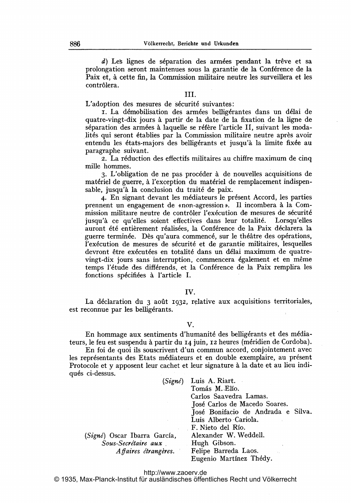$d$ ) Les lignes de séparation des armées pendant la trêve et sa prolongation seront maintenues sous la garantie de la Conférence de la Paix et, à cette fin, la Commission militaire neutre les surveillera et les contr6lera.

# III.

L'adoption des mesures de sécurité suivantes:

r. La démobilisation des armées belligérantes dans un délai de quatre-vingt-dix jours à partir de la date de la fixation de la ligne de séparation des armées à laquelle se réfère l'article II, suivant les modalités qui seront établies par la Commission militaire neutre après avoir entendu les états-majors des belligérants et jusqu'à la limite fixée au paragraphe suivant.

2. La réduction des effectifs militaires au chiffre maximum de cinq mille hommes.

3. L'obligation de ne pas procéder à de nouvelles acquisitions de matériel de guerre, à l'exception du matériel de remplacement indispensable, jusqu'à la conclusion du traité de paix.

4. En signant devant les m6diateurs le pr6sent Accord, les parties prennent un engagement de «non-agression». Il incombera à la Commission militaire neutre de contrôler l'exécution de mesures de sécurité jusqu'à ce qu'elles soient effectives dans leur totalité. Lorsqu'elles jusqu'à ce qu'elles soient effectives dans leur totalité. Lorsqu'elles<br>auront été entièrement réalisées, la Conférence de la Paix déclarera la<br>guerre terminée. Dès qu'aura commencé, sur le théâtre des opérations, l'exécution de mesures de sécurité et de garantie militaires, lesquelles devront être exécutées en totalité dans un délai maximum de quatrevingt-dix jours sans interruption, commencera également et en même temps l'étude des différends, et la Conférence de la Paix remplira les fonctions spécifiées à l'article I.

#### IV.

La déclaration du 3 août 1932, relative aux acquisitions territoriales, est reconnue par les belligérants.

## V.

En hommage aux sentiments d'humanité des belligérants et des médiateurs, le feu est suspendu à partir du 14 juin, 12 heures (méridien de Cordoba).

En foi de quoi ils souscrivent d'un commun accord, conjointement avec les représentants des Etats médiateurs et en double exemplaire, au présent Protocole et y apposent leur cachet et leur signature à la date et au lieu indiqués ci-dessus.

|                              | $(Sign\acute{e})$ Luis A. Riart.   |
|------------------------------|------------------------------------|
|                              | Tomás M. Elío.                     |
|                              | Carlos Saavedra Lamas.             |
|                              | José Carlos de Macedo Soares.      |
|                              | José Bonifacio de Andrada e Silva. |
|                              | Luis Alberto Cariola.              |
|                              | F. Nieto del Río.                  |
| (Signé) Oscar Ibarra García, | Alexander W. Weddell.              |
| Sous-Secrétaire aux          | Hugh Gibson.                       |
| Affaires étrangères.         | Felipe Barreda Laos.               |
|                              | Eugenio Martínez Thédy.            |

<http://www.zaoerv.de>